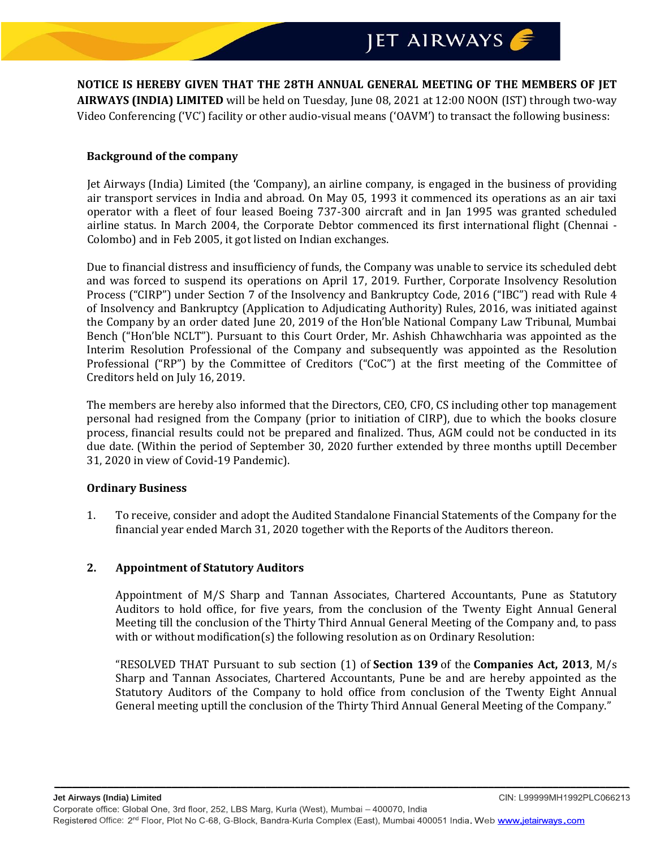**NOTICE IS HEREBY GIVEN THAT THE 28TH ANNUAL GENERAL MEETING OF THE MEMBERS OF JET AIRWAYS (INDIA) LIMITED** will be held on Tuesday, June 08, 2021 at 12:00 NOON (IST) through two-way Video Conferencing ('VC') facility or other audio-visual means ('OAVM') to transact the following business:

#### **Background of the company**

Jet Airways (India) Limited (the 'Company), an airline company, is engaged in the business of providing air transport services in India and abroad. On May 05, 1993 it commenced its operations as an air taxi operator with a fleet of four leased Boeing 737-300 aircraft and in Jan 1995 was granted scheduled airline status. In March 2004, the Corporate Debtor commenced its first international flight (Chennai - Colombo) and in Feb 2005, it got listed on Indian exchanges.

Due to financial distress and insufficiency of funds, the Company was unable to service its scheduled debt and was forced to suspend its operations on April 17, 2019. Further, Corporate Insolvency Resolution Process ("CIRP") under Section 7 of the Insolvency and Bankruptcy Code, 2016 ("IBC") read with Rule 4 of Insolvency and Bankruptcy (Application to Adjudicating Authority) Rules, 2016, was initiated against the Company by an order dated June 20, 2019 of the Hon'ble National Company Law Tribunal, Mumbai Bench ("Hon'ble NCLT"). Pursuant to this Court Order, Mr. Ashish Chhawchharia was appointed as the Interim Resolution Professional of the Company and subsequently was appointed as the Resolution Professional ("RP") by the Committee of Creditors ("CoC") at the first meeting of the Committee of Creditors held on July 16, 2019.

The members are hereby also informed that the Directors, CEO, CFO, CS including other top management personal had resigned from the Company (prior to initiation of CIRP), due to which the books closure process, financial results could not be prepared and finalized. Thus, AGM could not be conducted in its due date. (Within the period of September 30, 2020 further extended by three months uptill December 31, 2020 in view of Covid-19 Pandemic).

#### **Ordinary Business**

1. To receive, consider and adopt the Audited Standalone Financial Statements of the Company for the financial year ended March 31, 2020 together with the Reports of the Auditors thereon.

#### **2. Appointment of Statutory Auditors**

Appointment of M/S Sharp and Tannan Associates, Chartered Accountants, Pune as Statutory Auditors to hold office, for five years, from the conclusion of the Twenty Eight Annual General Meeting till the conclusion of the Thirty Third Annual General Meeting of the Company and, to pass with or without modification(s) the following resolution as on Ordinary Resolution:

"RESOLVED THAT Pursuant to sub section (1) of **[Section 139](https://taxguru.in/company-law/section-139-companies-act-2013.html)** of the **[Companies Act, 2013](https://taxguru.in/company-law/presidents-assent-companies-act-2013.html)**, M/s Sharp and Tannan Associates, Chartered Accountants, Pune be and are hereby appointed as the Statutory Auditors of the Company to hold office from conclusion of the Twenty Eight Annual General meeting uptill the conclusion of the Thirty Third Annual General Meeting of the Company."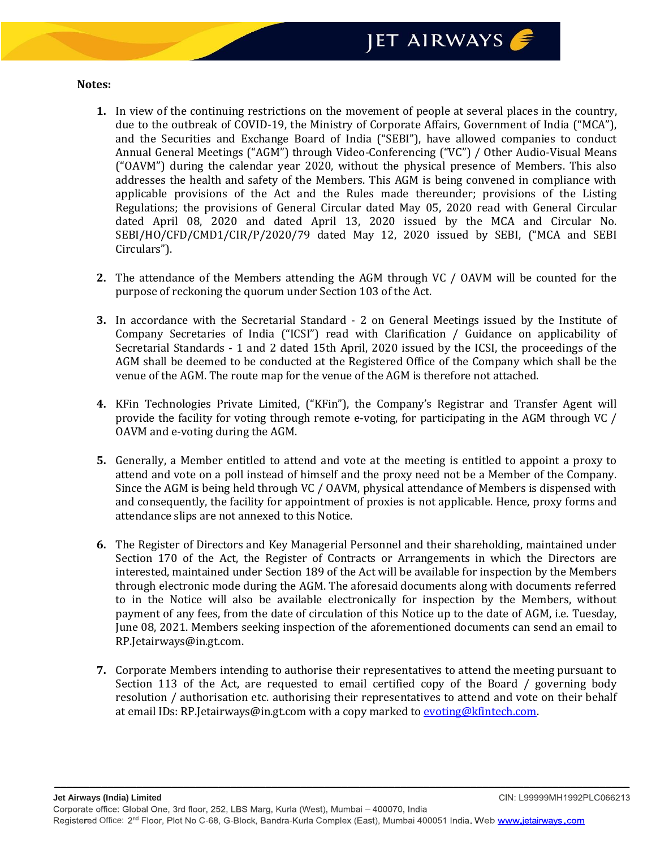#### **Notes:**

- **1.** In view of the continuing restrictions on the movement of people at several places in the country, due to the outbreak of COVID-19, the Ministry of Corporate Affairs, Government of India ("MCA"), and the Securities and Exchange Board of India ("SEBI"), have allowed companies to conduct Annual General Meetings ("AGM") through Video-Conferencing ("VC") / Other Audio-Visual Means ("OAVM") during the calendar year 2020, without the physical presence of Members. This also addresses the health and safety of the Members. This AGM is being convened in compliance with applicable provisions of the Act and the Rules made thereunder; provisions of the Listing Regulations; the provisions of General Circular dated May 05, 2020 read with General Circular dated April 08, 2020 and dated April 13, 2020 issued by the MCA and Circular No. SEBI/HO/CFD/CMD1/CIR/P/2020/79 dated May 12, 2020 issued by SEBI, ("MCA and SEBI Circulars").
- **2.** The attendance of the Members attending the AGM through VC / OAVM will be counted for the purpose of reckoning the quorum under Section 103 of the Act.
- **3.** In accordance with the Secretarial Standard 2 on General Meetings issued by the Institute of Company Secretaries of India ("ICSI") read with Clarification / Guidance on applicability of Secretarial Standards - 1 and 2 dated 15th April, 2020 issued by the ICSI, the proceedings of the AGM shall be deemed to be conducted at the Registered Office of the Company which shall be the venue of the AGM. The route map for the venue of the AGM is therefore not attached.
- **4.** KFin Technologies Private Limited, ("KFin"), the Company's Registrar and Transfer Agent will provide the facility for voting through remote e-voting, for participating in the AGM through VC / OAVM and e-voting during the AGM.
- **5.** Generally, a Member entitled to attend and vote at the meeting is entitled to appoint a proxy to attend and vote on a poll instead of himself and the proxy need not be a Member of the Company. Since the AGM is being held through VC / OAVM, physical attendance of Members is dispensed with and consequently, the facility for appointment of proxies is not applicable. Hence, proxy forms and attendance slips are not annexed to this Notice.
- **6.** The Register of Directors and Key Managerial Personnel and their shareholding, maintained under Section 170 of the Act, the Register of Contracts or Arrangements in which the Directors are interested, maintained under Section 189 of the Act will be available for inspection by the Members through electronic mode during the AGM. The aforesaid documents along with documents referred to in the Notice will also be available electronically for inspection by the Members, without payment of any fees, from the date of circulation of this Notice up to the date of AGM, i.e. Tuesday, June 08, 2021. Members seeking inspection of the aforementioned documents can send an email to RP.Jetairways@in.gt.com.
- **7.** Corporate Members intending to authorise their representatives to attend the meeting pursuant to Section 113 of the Act, are requested to email certified copy of the Board / governing body resolution / authorisation etc. authorising their representatives to attend and vote on their behalf at email IDs: RP.Jetairways@in.gt.com with a copy marked t[o evoting@kfintech.com.](mailto:evoting@kfintech.com)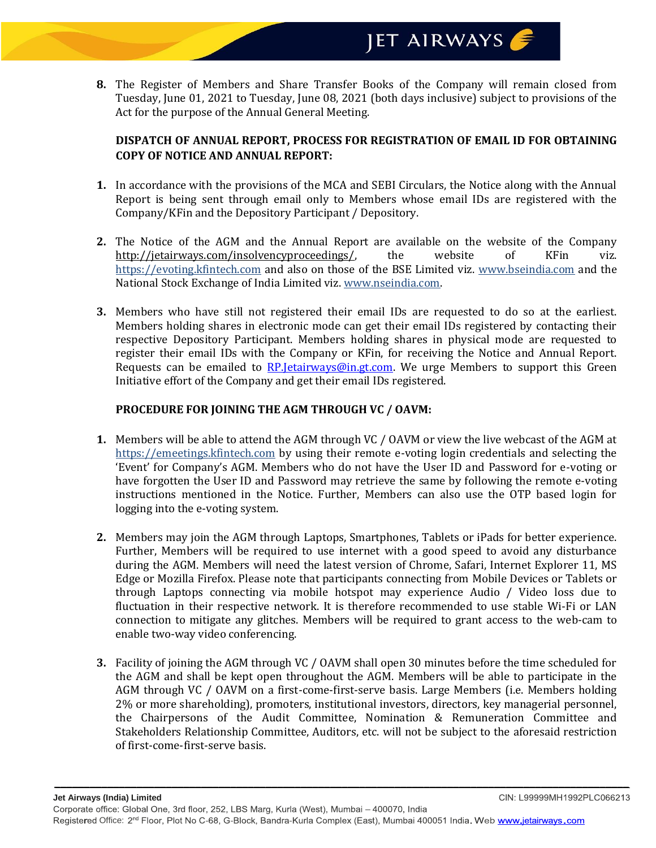**8.** The Register of Members and Share Transfer Books of the Company will remain closed from Tuesday, June 01, 2021 to Tuesday, June 08, 2021 (both days inclusive) subject to provisions of the Act for the purpose of the Annual General Meeting.

### **DISPATCH OF ANNUAL REPORT, PROCESS FOR REGISTRATION OF EMAIL ID FOR OBTAINING COPY OF NOTICE AND ANNUAL REPORT:**

- **1.** In accordance with the provisions of the MCA and SEBI Circulars, the Notice along with the Annual Report is being sent through email only to Members whose email IDs are registered with the Company/KFin and the Depository Participant / Depository.
- **2.** The Notice of the AGM and the Annual Report are available on the website of the Company [http://jetairways.com/insolvencyproceedings/,](http://jetairways.com/insolvencyproceedings/) the website of KFin viz. https://evoting.kfintech.com and also on those of the BSE Limited viz. www.bseindia.com and the National Stock Exchange of India Limited viz. [www.nseindia.com.](http://www.nseindia.com/)
- **3.** Members who have still not registered their email IDs are requested to do so at the earliest. Members holding shares in electronic mode can get their email IDs registered by contacting their respective Depository Participant. Members holding shares in physical mode are requested to register their email IDs with the Company or KFin, for receiving the Notice and Annual Report. Requests can be emailed to RP. Jetairways @in.gt.com. We urge Members to support this Green Initiative effort of the Company and get their email IDs registered.

### **PROCEDURE FOR JOINING THE AGM THROUGH VC / OAVM:**

- **1.** Members will be able to attend the AGM through VC / OAVM or view the live webcast of the AGM at https://emeetings.kfintech.com by using their remote e-voting login credentials and selecting the 'Event' for Company's AGM. Members who do not have the User ID and Password for e-voting or have forgotten the User ID and Password may retrieve the same by following the remote e-voting instructions mentioned in the Notice. Further, Members can also use the OTP based login for logging into the e-voting system.
- **2.** Members may join the AGM through Laptops, Smartphones, Tablets or iPads for better experience. Further, Members will be required to use internet with a good speed to avoid any disturbance during the AGM. Members will need the latest version of Chrome, Safari, Internet Explorer 11, MS Edge or Mozilla Firefox. Please note that participants connecting from Mobile Devices or Tablets or through Laptops connecting via mobile hotspot may experience Audio / Video loss due to fluctuation in their respective network. It is therefore recommended to use stable Wi-Fi or LAN connection to mitigate any glitches. Members will be required to grant access to the web-cam to enable two-way video conferencing.
- **3.** Facility of joining the AGM through VC / OAVM shall open 30 minutes before the time scheduled for the AGM and shall be kept open throughout the AGM. Members will be able to participate in the AGM through VC / OAVM on a first-come-first-serve basis. Large Members (i.e. Members holding 2% or more shareholding), promoters, institutional investors, directors, key managerial personnel, the Chairpersons of the Audit Committee, Nomination & Remuneration Committee and Stakeholders Relationship Committee, Auditors, etc. will not be subject to the aforesaid restriction of first-come-first-serve basis.

*\_\_\_\_\_\_\_\_\_\_\_\_\_\_\_\_\_\_\_\_\_\_\_\_\_\_\_\_\_\_\_\_\_\_\_\_\_\_\_\_\_\_\_\_\_\_\_\_\_\_\_\_\_\_\_\_\_\_\_\_\_\_\_\_\_\_\_\_\_\_\_\_\_\_\_\_\_\_\_\_\_\_\_\_\_\_\_\_\_\_\_\_\_\_\_\_\_\_*

CIN: L99999MH1992PLC066213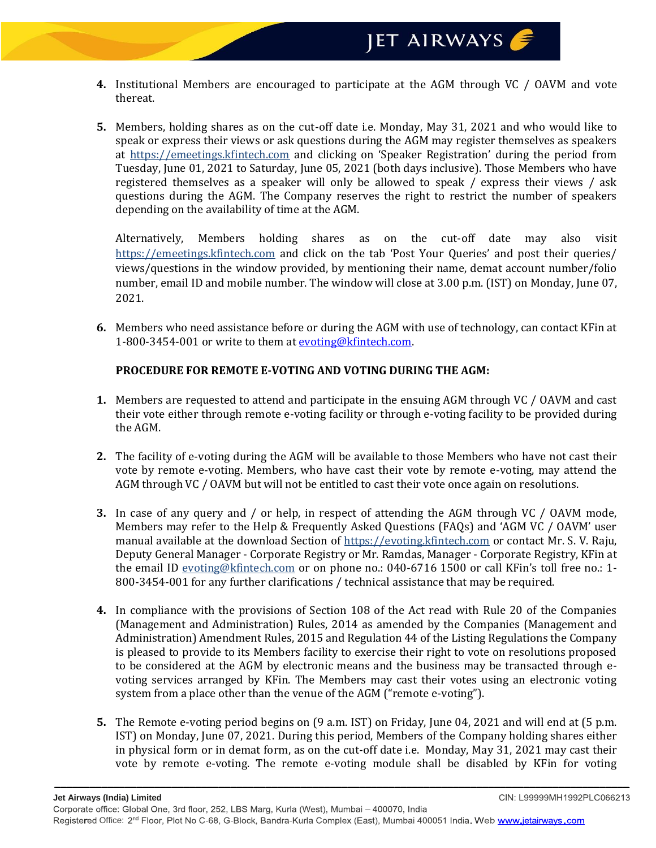- **4.** Institutional Members are encouraged to participate at the AGM through VC / OAVM and vote thereat.
- **5.** Members, holding shares as on the cut-off date i.e. Monday, May 31, 2021 and who would like to speak or express their views or ask questions during the AGM may register themselves as speakers at https://emeetings.kfintech.com and clicking on 'Speaker Registration' during the period from Tuesday, June 01, 2021 to Saturday, June 05, 2021 (both days inclusive). Those Members who have registered themselves as a speaker will only be allowed to speak / express their views / ask questions during the AGM. The Company reserves the right to restrict the number of speakers depending on the availability of time at the AGM.

Alternatively, Members holding shares as on the cut-off date may also visit https://emeetings.kfintech.com and click on the tab 'Post Your Queries' and post their queries/ views/questions in the window provided, by mentioning their name, demat account number/folio number, email ID and mobile number. The window will close at 3.00 p.m. (IST) on Monday, June 07, 2021.

**6.** Members who need assistance before or during the AGM with use of technology, can contact KFin at 1-800-3454-001 or write to them at [evoting@kfintech.com.](mailto:evoting@kfintech.com)

### **PROCEDURE FOR REMOTE E-VOTING AND VOTING DURING THE AGM:**

- **1.** Members are requested to attend and participate in the ensuing AGM through VC / OAVM and cast their vote either through remote e-voting facility or through e-voting facility to be provided during the AGM.
- **2.** The facility of e-voting during the AGM will be available to those Members who have not cast their vote by remote e-voting. Members, who have cast their vote by remote e-voting, may attend the AGM through VC / OAVM but will not be entitled to cast their vote once again on resolutions.
- **3.** In case of any query and / or help, in respect of attending the AGM through VC / OAVM mode, Members may refer to the Help & Frequently Asked Questions (FAQs) and 'AGM VC / OAVM' user manual available at the download Section of https://evoting.kfintech.com or contact Mr. S. V. Raju, Deputy General Manager - Corporate Registry or Mr. Ramdas, Manager - Corporate Registry, KFin at the email ID evoting@kfintech.com or on phone no.: 040-6716 1500 or call KFin's toll free no.: 1- 800-3454-001 for any further clarifications / technical assistance that may be required.
- **4.** In compliance with the provisions of Section 108 of the Act read with Rule 20 of the Companies (Management and Administration) Rules, 2014 as amended by the Companies (Management and Administration) Amendment Rules, 2015 and Regulation 44 of the Listing Regulations the Company is pleased to provide to its Members facility to exercise their right to vote on resolutions proposed to be considered at the AGM by electronic means and the business may be transacted through evoting services arranged by KFin. The Members may cast their votes using an electronic voting system from a place other than the venue of the AGM ("remote e-voting").
- **5.** The Remote e-voting period begins on (9 a.m. IST) on Friday, June 04, 2021 and will end at (5 p.m. IST) on Monday, June 07, 2021. During this period, Members of the Company holding shares either in physical form or in demat form, as on the cut-off date i.e. Monday, May 31, 2021 may cast their vote by remote e-voting. The remote e-voting module shall be disabled by KFin for voting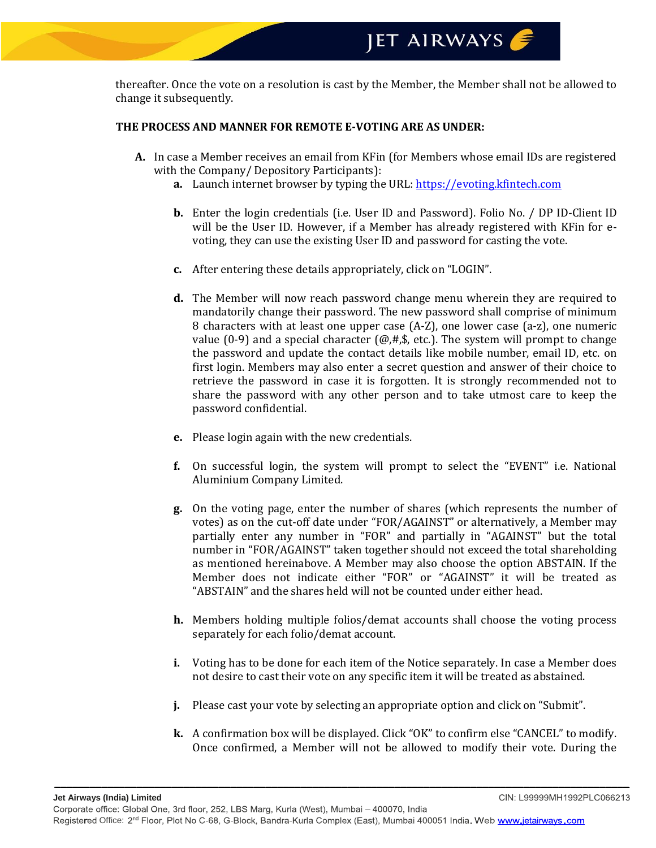thereafter. Once the vote on a resolution is cast by the Member, the Member shall not be allowed to change it subsequently.

#### **THE PROCESS AND MANNER FOR REMOTE E-VOTING ARE AS UNDER:**

- **A.** In case a Member receives an email from KFin (for Members whose email IDs are registered with the Company/ Depository Participants):
	- **a.** Launch internet browser by typing the URL[: https://evoting.kfintech.com](https://evoting.kfintech.com/)
	- **b.** Enter the login credentials (i.e. User ID and Password). Folio No. / DP ID-Client ID will be the User ID. However, if a Member has already registered with KFin for evoting, they can use the existing User ID and password for casting the vote.
	- **c.** After entering these details appropriately, click on "LOGIN".
	- **d.** The Member will now reach password change menu wherein they are required to mandatorily change their password. The new password shall comprise of minimum 8 characters with at least one upper case (A-Z), one lower case (a-z), one numeric value (0-9) and a special character ( $(\mathcal{Q}, \#,\$ \$, etc.). The system will prompt to change the password and update the contact details like mobile number, email ID, etc. on first login. Members may also enter a secret question and answer of their choice to retrieve the password in case it is forgotten. It is strongly recommended not to share the password with any other person and to take utmost care to keep the password confidential.
	- **e.** Please login again with the new credentials.
	- **f.** On successful login, the system will prompt to select the "EVENT" i.e. National Aluminium Company Limited.
	- **g.** On the voting page, enter the number of shares (which represents the number of votes) as on the cut-off date under "FOR/AGAINST" or alternatively, a Member may partially enter any number in "FOR" and partially in "AGAINST" but the total number in "FOR/AGAINST" taken together should not exceed the total shareholding as mentioned hereinabove. A Member may also choose the option ABSTAIN. If the Member does not indicate either "FOR" or "AGAINST" it will be treated as "ABSTAIN" and the shares held will not be counted under either head.
	- **h.** Members holding multiple folios/demat accounts shall choose the voting process separately for each folio/demat account.
	- **i.** Voting has to be done for each item of the Notice separately. In case a Member does not desire to cast their vote on any specific item it will be treated as abstained.
	- **j.** Please cast your vote by selecting an appropriate option and click on "Submit".
	- **k.** A confirmation box will be displayed. Click "OK" to confirm else "CANCEL" to modify. Once confirmed, a Member will not be allowed to modify their vote. During the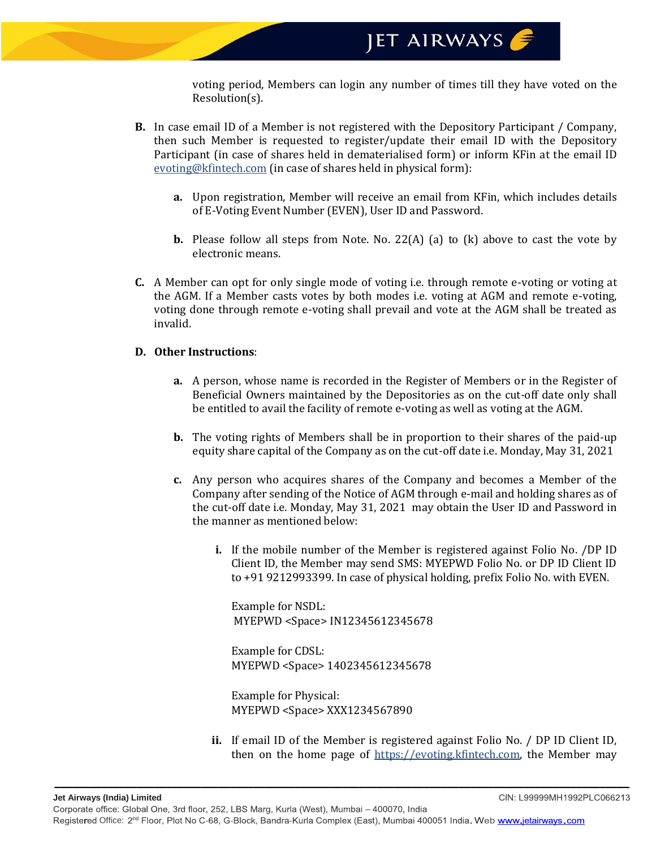voting period, Members can login any number of times till they have voted on the Resolution(s).

- **B.** In case email ID of a Member is not registered with the Depository Participant / Company, then such Member is requested to register/update their email ID with the Depository Participant (in case of shares held in dematerialised form) or inform KFin at the email ID evoting@kfintech.com (in case of shares held in physical form):
	- **a.** Upon registration, Member will receive an email from KFin, which includes details of E-Voting Event Number (EVEN), User ID and Password.
	- **b.** Please follow all steps from Note. No. 22(A) (a) to (k) above to cast the vote by electronic means.
- **C.** A Member can opt for only single mode of voting i.e. through remote e-voting or voting at the AGM. If a Member casts votes by both modes i.e. voting at AGM and remote e-voting, voting done through remote e-voting shall prevail and vote at the AGM shall be treated as invalid.

### **D. Other Instructions**:

- **a.** A person, whose name is recorded in the Register of Members or in the Register of Beneficial Owners maintained by the Depositories as on the cut-off date only shall be entitled to avail the facility of remote e-voting as well as voting at the AGM.
- **b.** The voting rights of Members shall be in proportion to their shares of the paid-up equity share capital of the Company as on the cut-off date i.e. Monday, May 31, 2021
- **c.** Any person who acquires shares of the Company and becomes a Member of the Company after sending of the Notice of AGM through e-mail and holding shares as of the cut-off date i.e. Monday, May 31, 2021 may obtain the User ID and Password in the manner as mentioned below:
	- **i.** If the mobile number of the Member is registered against Folio No. /DP ID Client ID, the Member may send SMS: MYEPWD Folio No. or DP ID Client ID to +91 9212993399. In case of physical holding, prefix Folio No. with EVEN.

Example for NSDL: MYEPWD <Space> IN12345612345678

Example for CDSL: MYEPWD <Space> 1402345612345678

Example for Physical: MYEPWD <Space> XXX1234567890

**ii.** If email ID of the Member is registered against Folio No. / DP ID Client ID, then on the home page of https://evoting.kfintech.com, the Member may